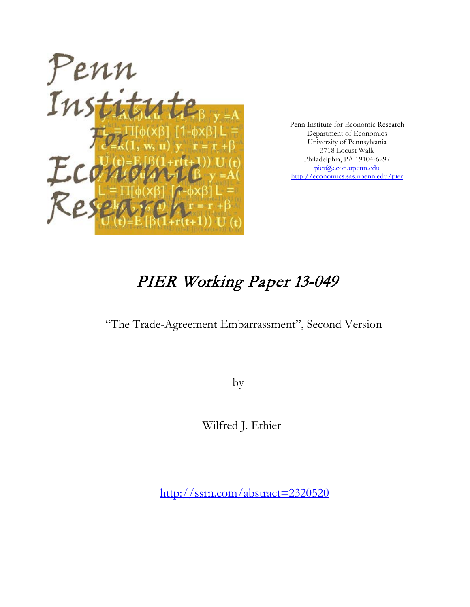

Penn Institute for Economic Research Department of Economics University of Pennsylvania 3718 Locust Walk Philadelphia, PA 19104-6297 [pier@econ.upenn.edu](mailto:pier@econ.upenn.edu) <http://economics.sas.upenn.edu/pier>

# PIER Working Paper 13-049

## "The Trade-Agreement Embarrassment", Second Version

by

Wilfred J. Ethier

[http://ssrn.com/abstract=2](http://ssrn.com/abstract_id=)320520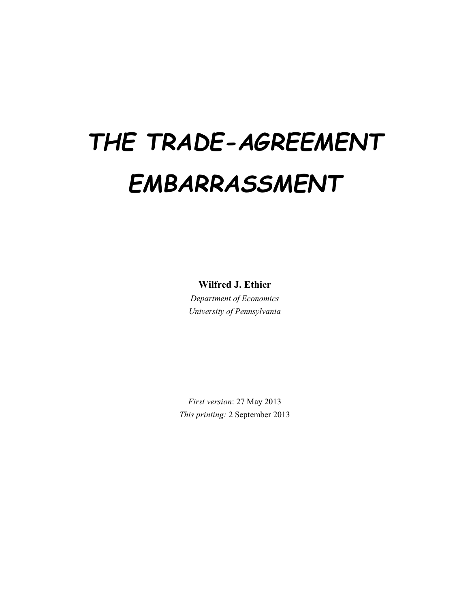# *THE TRADE-AGREEMENT EMBARRASSMENT*

**Wilfred J. Ethier**

*Department of Economics University of Pennsylvania*

*First version*: 27 May 2013 *This printing:* 2 September 2013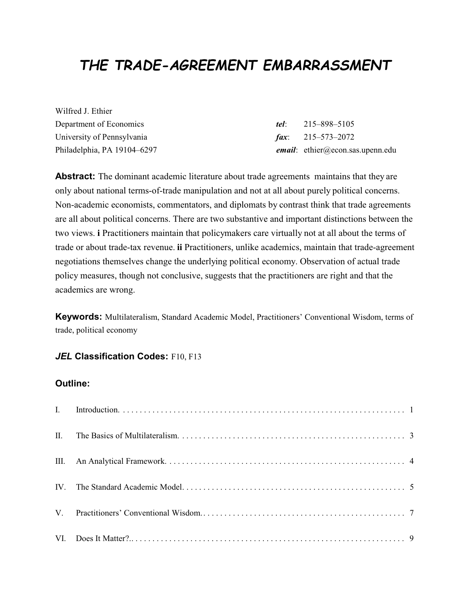# *THE TRADE-AGREEMENT EMBARRASSMENT*

Wilfred J. Ethier Department of Economics *tel*: 215–898–5105 University of Pennsylvania *fax*: 215–573–2072

Philadelphia, PA 19104–6297 *email*: ethier@econ.sas.upenn.edu

**Abstract:** The dominant academic literature about trade agreements maintains that they are only about national terms-of-trade manipulation and not at all about purely political concerns. Non-academic economists, commentators, and diplomats by contrast think that trade agreements are all about political concerns. There are two substantive and important distinctions between the two views. **i** Practitioners maintain that policymakers care virtually not at all about the terms of trade or about trade-tax revenue. **ii** Practitioners, unlike academics, maintain that trade-agreement negotiations themselves change the underlying political economy. Observation of actual trade policy measures, though not conclusive, suggests that the practitioners are right and that the academics are wrong.

**Keywords:** Multilateralism, Standard Academic Model, Practitioners' Conventional Wisdom, terms of trade, political economy

#### *JEL* **Classification Codes: F10, F13**

#### **Outline:**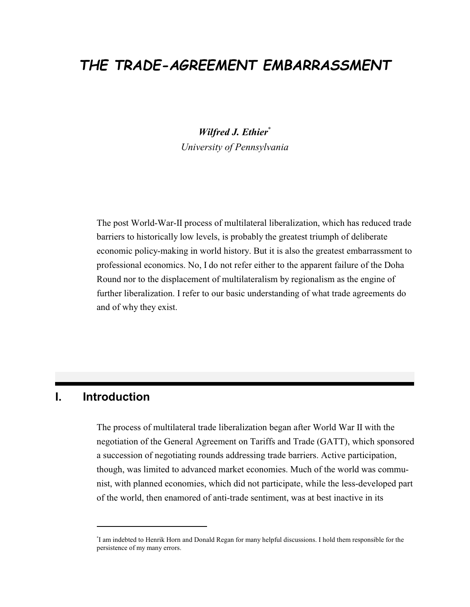## *THE TRADE-AGREEMENT EMBARRASSMENT*

*Wilfred J. Ethier*\* *University of Pennsylvania*

The post World-War-II process of multilateral liberalization, which has reduced trade barriers to historically low levels, is probably the greatest triumph of deliberate economic policy-making in world history. But it is also the greatest embarrassment to professional economics. No, I do not refer either to the apparent failure of the Doha Round nor to the displacement of multilateralism by regionalism as the engine of further liberalization. I refer to our basic understanding of what trade agreements do and of why they exist.

#### **I. Introduction**

The process of multilateral trade liberalization began after World War II with the negotiation of the General Agreement on Tariffs and Trade (GATT), which sponsored a succession of negotiating rounds addressing trade barriers. Active participation, though, was limited to advanced market economies. Much of the world was communist, with planned economies, which did not participate, while the less-developed part of the world, then enamored of anti-trade sentiment, was at best inactive in its

<sup>\*</sup> I am indebted to Henrik Horn and Donald Regan for many helpful discussions. I hold them responsible for the persistence of my many errors.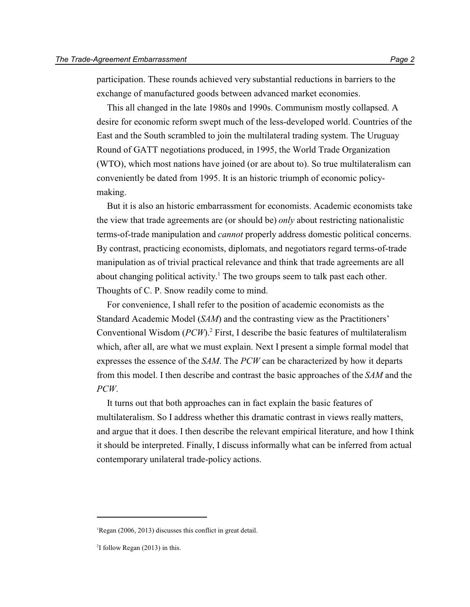participation. These rounds achieved very substantial reductions in barriers to the exchange of manufactured goods between advanced market economies.

This all changed in the late 1980s and 1990s. Communism mostly collapsed. A desire for economic reform swept much of the less-developed world. Countries of the East and the South scrambled to join the multilateral trading system. The Uruguay Round of GATT negotiations produced, in 1995, the World Trade Organization (WTO), which most nations have joined (or are about to). So true multilateralism can conveniently be dated from 1995. It is an historic triumph of economic policymaking.

But it is also an historic embarrassment for economists. Academic economists take the view that trade agreements are (or should be) *only* about restricting nationalistic terms-of-trade manipulation and *cannot* properly address domestic political concerns. By contrast, practicing economists, diplomats, and negotiators regard terms-of-trade manipulation as of trivial practical relevance and think that trade agreements are all about changing political activity. <sup>1</sup> The two groups seem to talk past each other. Thoughts of C. P. Snow readily come to mind.

For convenience, I shall refer to the position of academic economists as the Standard Academic Model (*SAM*) and the contrasting view as the Practitioners' Conventional Wisdom (PCW).<sup>2</sup> First, I describe the basic features of multilateralism which, after all, are what we must explain. Next I present a simple formal model that expresses the essence of the *SAM*. The *PCW* can be characterized by how it departs from this model. I then describe and contrast the basic approaches of the *SAM* and the *PCW*.

It turns out that both approaches can in fact explain the basic features of multilateralism. So I address whether this dramatic contrast in views really matters, and argue that it does. I then describe the relevant empirical literature, and how I think it should be interpreted. Finally, I discuss informally what can be inferred from actual contemporary unilateral trade-policy actions.

<sup>&</sup>lt;sup>1</sup>Regan (2006, 2013) discusses this conflict in great detail.

<sup>2</sup> I follow Regan (2013) in this.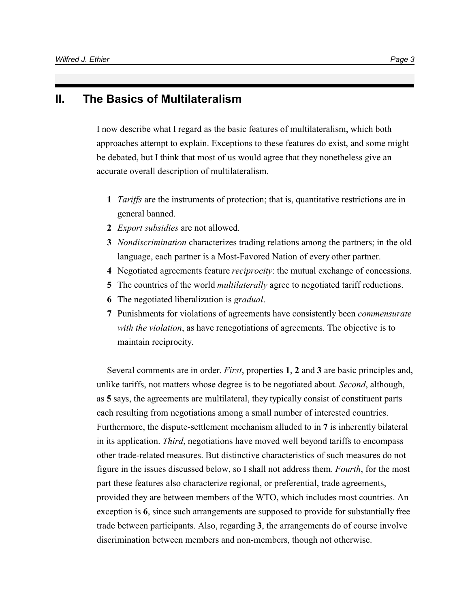#### **II. The Basics of Multilateralism**

I now describe what I regard as the basic features of multilateralism, which both approaches attempt to explain. Exceptions to these features do exist, and some might be debated, but I think that most of us would agree that they nonetheless give an accurate overall description of multilateralism.

- **1** *Tariffs* are the instruments of protection; that is, quantitative restrictions are in general banned.
- **2** *Export subsidies* are not allowed.
- **3** *Nondiscrimination* characterizes trading relations among the partners; in the old language, each partner is a Most-Favored Nation of every other partner.
- **4** Negotiated agreements feature *reciprocity*: the mutual exchange of concessions.
- **5** The countries of the world *multilaterally* agree to negotiated tariff reductions.
- **6** The negotiated liberalization is *gradual*.
- **7** Punishments for violations of agreements have consistently been *commensurate with the violation*, as have renegotiations of agreements. The objective is to maintain reciprocity.

Several comments are in order. *First*, properties **1**, **2** and **3** are basic principles and, unlike tariffs, not matters whose degree is to be negotiated about. *Second*, although, as **5** says, the agreements are multilateral, they typically consist of constituent parts each resulting from negotiations among a small number of interested countries. Furthermore, the dispute-settlement mechanism alluded to in **7** is inherently bilateral in its application. *Third*, negotiations have moved well beyond tariffs to encompass other trade-related measures. But distinctive characteristics of such measures do not figure in the issues discussed below, so I shall not address them. *Fourth*, for the most part these features also characterize regional, or preferential, trade agreements, provided they are between members of the WTO, which includes most countries. An exception is **6**, since such arrangements are supposed to provide for substantially free trade between participants. Also, regarding **3**, the arrangements do of course involve discrimination between members and non-members, though not otherwise.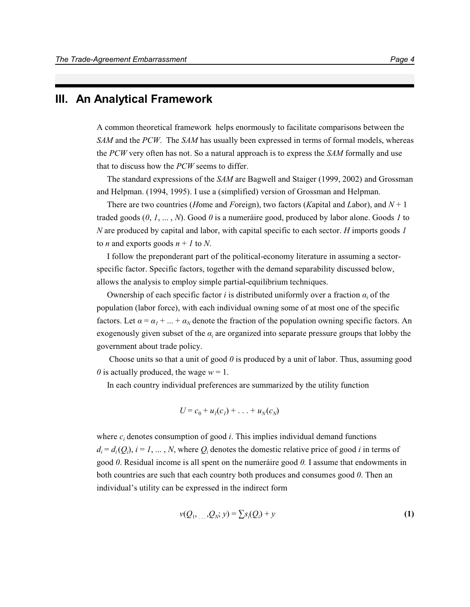#### **III. An Analytical Framework**

A common theoretical framework helps enormously to facilitate comparisons between the *SAM* and the *PCW*. The *SAM* has usually been expressed in terms of formal models, whereas the *PCW* very often has not. So a natural approach is to express the *SAM* formally and use that to discuss how the *PCW* seems to differ.

The standard expressions of the *SAM* are Bagwell and Staiger (1999, 2002) and Grossman and Helpman. (1994, 1995). I use a (simplified) version of Grossman and Helpman.

There are two countries (*H*ome and *F*oreign), two factors (*K*apital and *L*abor), and *N* + 1 traded goods (*0*, *1*, ... , *N*). Good *0* is a numeráire good, produced by labor alone. Goods *1* to *N* are produced by capital and labor, with capital specific to each sector. *H* imports goods *1* to *n* and exports goods  $n + 1$  to *N*.

I follow the preponderant part of the political-economy literature in assuming a sectorspecific factor. Specific factors, together with the demand separability discussed below, allows the analysis to employ simple partial-equilibrium techniques.

Ownership of each specific factor  $i$  is distributed uniformly over a fraction  $\alpha_i$  of the population (labor force), with each individual owning some of at most one of the specific factors. Let  $\alpha = \alpha_1 + ... + \alpha_N$  denote the fraction of the population owning specific factors. An exogenously given subset of the  $a_i$  are organized into separate pressure groups that lobby the government about trade policy.

 Choose units so that a unit of good *0* is produced by a unit of labor. Thus, assuming good *0* is actually produced, the wage  $w = 1$ .

In each country individual preferences are summarized by the utility function

$$
U=c_0+u_1(c_1)+\ldots+u_N(c_N)
$$

where  $c_i$  denotes consumption of good  $i$ . This implies individual demand functions  $d_i = d_i(Q_i)$ ,  $i = 1, \dots, N$ , where  $Q_i$  denotes the domestic relative price of good *i* in terms of good *0*. Residual income is all spent on the numeráire good *0.* I assume that endowments in both countries are such that each country both produces and consumes good *0*. Then an individual's utility can be expressed in the indirect form

$$
v(Q_1, ..., Q_N; y) = \sum s_i(Q_i) + y \tag{1}
$$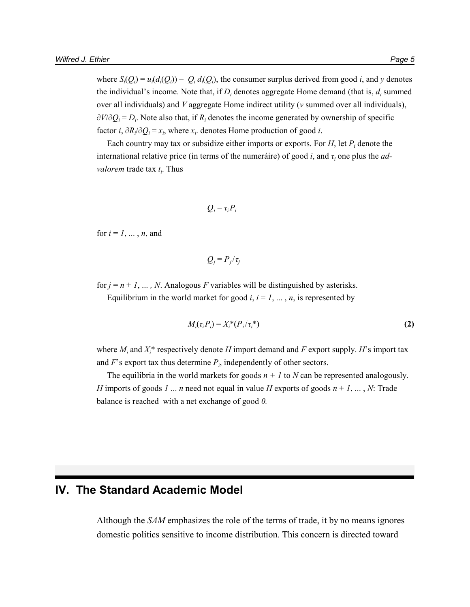where  $S_i(Q_i) = u_i(d_i(Q_i)) - Q_i d_i(Q_i)$ , the consumer surplus derived from good *i*, and *y* denotes the individual's income. Note that, if  $D_i$  denotes aggregate Home demand (that is,  $d_i$  summed over all individuals) and *V* aggregate Home indirect utility (*v* summed over all individuals),  $\partial V/\partial Q_i = D_i$ . Note also that, if  $R_i$  denotes the income generated by ownership of specific factor *i*,  $\partial R_i / \partial Q_i = x_i$ , where  $x_i$  denotes Home production of good *i*.

Each country may tax or subsidize either imports or exports. For *H*, let *P<sup>i</sup>* denote the international relative price (in terms of the numeráire) of good *i*, and  $\tau$ <sub>*i*</sub> one plus the *advalorem* trade tax *t<sup>i</sup>* . Thus

$$
Q_i = \tau_i P_i
$$

for  $i = 1, \ldots, n$ , and

$$
Q_j = P_j / \tau_j
$$

for  $j = n + 1, \ldots, N$ . Analogous *F* variables will be distinguished by asterisks. Equilibrium in the world market for good  $i, i = 1, \ldots, n$ , is represented by

$$
M_i(\tau_i P_i) = X_i^*(P_i/\tau_i^*)
$$
\n(2)

where  $M_i$  and  $X_i^*$  respectively denote *H* import demand and *F* export supply. *H*'s import tax and  $F$ 's export tax thus determine  $P_i$ , independently of other sectors.

The equilibria in the world markets for goods  $n + 1$  to *N* can be represented analogously. *H* imports of goods *1* ... *n* need not equal in value *H* exports of goods  $n + 1, ..., N$ : Trade balance is reached with a net exchange of good *0.*

### **IV. The Standard Academic Model**

Although the *SAM* emphasizes the role of the terms of trade, it by no means ignores domestic politics sensitive to income distribution. This concern is directed toward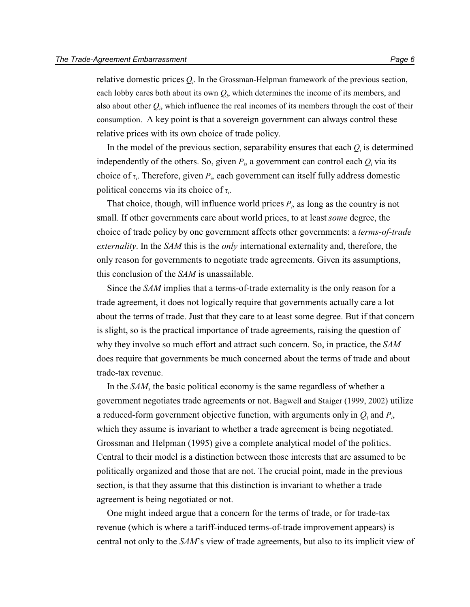relative domestic prices  $Q_i$ . In the Grossman-Helpman framework of the previous section, each lobby cares both about its own  $Q_i$ , which determines the income of its members, and also about other  $Q_i$ , which influence the real incomes of its members through the cost of their consumption. A key point is that a sovereign government can always control these relative prices with its own choice of trade policy.

In the model of the previous section, separability ensures that each  $Q_i$  is determined independently of the others. So, given  $P_i$ , a government can control each  $Q_i$  via its choice of  $\tau_i$ . Therefore, given  $P_i$ , each government can itself fully address domestic political concerns via its choice of  $\tau_i$ .

That choice, though, will influence world prices  $P_i$ , as long as the country is not small. If other governments care about world prices, to at least *some* degree, the choice of trade policy by one government affects other governments: a *terms-of-trade externality*. In the *SAM* this is the *only* international externality and, therefore, the only reason for governments to negotiate trade agreements. Given its assumptions, this conclusion of the *SAM* is unassailable.

Since the *SAM* implies that a terms-of-trade externality is the only reason for a trade agreement, it does not logically require that governments actually care a lot about the terms of trade. Just that they care to at least some degree. But if that concern is slight, so is the practical importance of trade agreements, raising the question of why they involve so much effort and attract such concern. So, in practice, the *SAM* does require that governments be much concerned about the terms of trade and about trade-tax revenue.

In the *SAM*, the basic political economy is the same regardless of whether a government negotiates trade agreements or not. Bagwell and Staiger (1999, 2002) utilize a reduced-form government objective function, with arguments only in  $Q_i$  and  $P_i$ , which they assume is invariant to whether a trade agreement is being negotiated. Grossman and Helpman (1995) give a complete analytical model of the politics. Central to their model is a distinction between those interests that are assumed to be politically organized and those that are not. The crucial point, made in the previous section, is that they assume that this distinction is invariant to whether a trade agreement is being negotiated or not.

One might indeed argue that a concern for the terms of trade, or for trade-tax revenue (which is where a tariff-induced terms-of-trade improvement appears) is central not only to the *SAM*'s view of trade agreements, but also to its implicit view of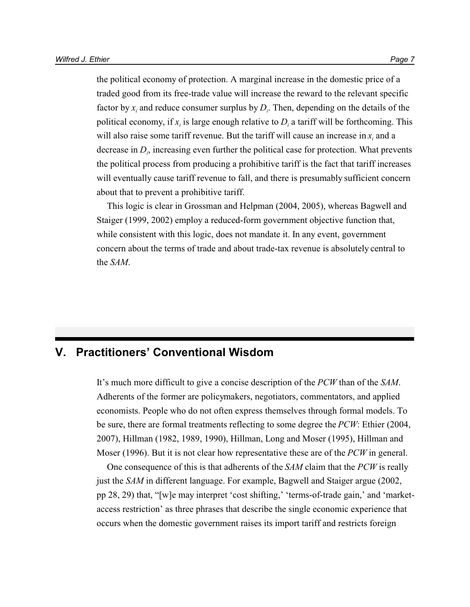the political economy of protection. A marginal increase in the domestic price of a traded good from its free-trade value will increase the reward to the relevant specific factor by  $x_i$  and reduce consumer surplus by  $D_i$ . Then, depending on the details of the political economy, if  $x_i$  is large enough relative to  $D_i$  a tariff will be forthcoming. This will also raise some tariff revenue. But the tariff will cause an increase in  $x_i$  and a decrease in *D<sup>i</sup>* , increasing even further the political case for protection. What prevents the political process from producing a prohibitive tariff is the fact that tariff increases will eventually cause tariff revenue to fall, and there is presumably sufficient concern about that to prevent a prohibitive tariff.

This logic is clear in Grossman and Helpman (2004, 2005), whereas Bagwell and Staiger (1999, 2002) employ a reduced-form government objective function that, while consistent with this logic, does not mandate it. In any event, government concern about the terms of trade and about trade-tax revenue is absolutely central to the *SAM*.

## **V. Practitioners' Conventional Wisdom**

It's much more difficult to give a concise description of the *PCW* than of the *SAM*. Adherents of the former are policymakers, negotiators, commentators, and applied economists. People who do not often express themselves through formal models. To be sure, there are formal treatments reflecting to some degree the *PCW*: Ethier (2004, 2007), Hillman (1982, 1989, 1990), Hillman, Long and Moser (1995), Hillman and Moser (1996). But it is not clear how representative these are of the *PCW* in general.

One consequence of this is that adherents of the *SAM* claim that the *PCW* is really just the *SAM* in different language. For example, Bagwell and Staiger argue (2002, pp 28, 29) that, "[w]e may interpret 'cost shifting,' 'terms-of-trade gain,' and 'marketaccess restriction' as three phrases that describe the single economic experience that occurs when the domestic government raises its import tariff and restricts foreign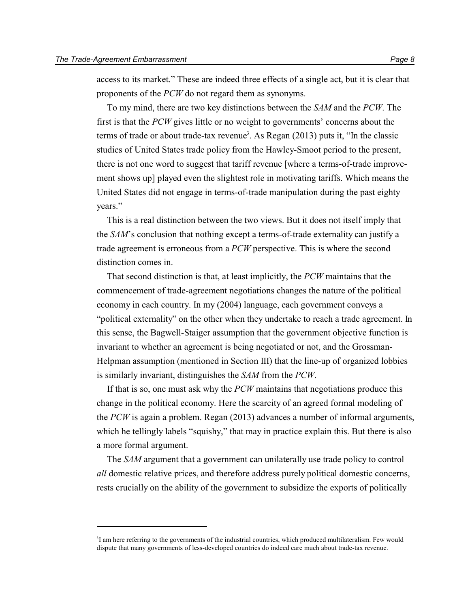access to its market." These are indeed three effects of a single act, but it is clear that proponents of the *PCW* do not regard them as synonyms.

To my mind, there are two key distinctions between the *SAM* and the *PCW*. The first is that the *PCW* gives little or no weight to governments' concerns about the terms of trade or about trade-tax revenue<sup>3</sup>. As Regan  $(2013)$  puts it, "In the classic studies of United States trade policy from the Hawley-Smoot period to the present, there is not one word to suggest that tariff revenue [where a terms-of-trade improvement shows up] played even the slightest role in motivating tariffs. Which means the United States did not engage in terms-of-trade manipulation during the past eighty years."

This is a real distinction between the two views. But it does not itself imply that the *SAM*'s conclusion that nothing except a terms-of-trade externality can justify a trade agreement is erroneous from a *PCW* perspective. This is where the second distinction comes in.

That second distinction is that, at least implicitly, the *PCW* maintains that the commencement of trade-agreement negotiations changes the nature of the political economy in each country. In my (2004) language, each government conveys a "political externality" on the other when they undertake to reach a trade agreement. In this sense, the Bagwell-Staiger assumption that the government objective function is invariant to whether an agreement is being negotiated or not, and the Grossman-Helpman assumption (mentioned in Section III) that the line-up of organized lobbies is similarly invariant, distinguishes the *SAM* from the *PCW*.

If that is so, one must ask why the *PCW* maintains that negotiations produce this change in the political economy. Here the scarcity of an agreed formal modeling of the *PCW* is again a problem. Regan (2013) advances a number of informal arguments, which he tellingly labels "squishy," that may in practice explain this. But there is also a more formal argument.

The *SAM* argument that a government can unilaterally use trade policy to control *all* domestic relative prices, and therefore address purely political domestic concerns, rests crucially on the ability of the government to subsidize the exports of politically

<sup>3</sup> I am here referring to the governments of the industrial countries, which produced multilateralism. Few would dispute that many governments of less-developed countries do indeed care much about trade-tax revenue.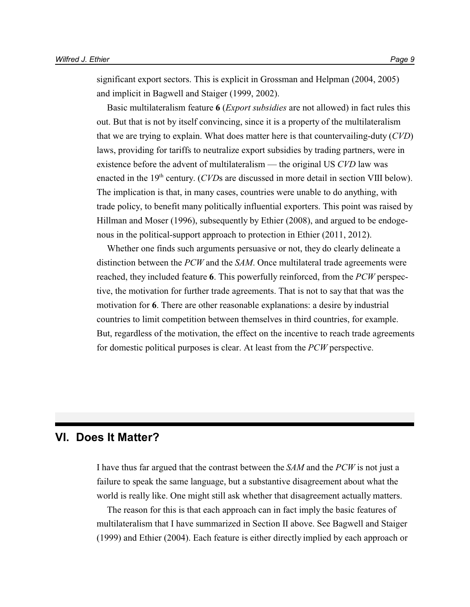significant export sectors. This is explicit in Grossman and Helpman (2004, 2005) and implicit in Bagwell and Staiger (1999, 2002).

Basic multilateralism feature **6** (*Export subsidies* are not allowed) in fact rules this out. But that is not by itself convincing, since it is a property of the multilateralism that we are trying to explain. What does matter here is that countervailing-duty (*CVD*) laws, providing for tariffs to neutralize export subsidies by trading partners, were in existence before the advent of multilateralism — the original US *CVD* law was enacted in the 19<sup>th</sup> century. (*CVD*s are discussed in more detail in section VIII below). The implication is that, in many cases, countries were unable to do anything, with trade policy, to benefit many politically influential exporters. This point was raised by Hillman and Moser (1996), subsequently by Ethier (2008), and argued to be endogenous in the political-support approach to protection in Ethier (2011, 2012).

Whether one finds such arguments persuasive or not, they do clearly delineate a distinction between the *PCW* and the *SAM*. Once multilateral trade agreements were reached, they included feature **6**. This powerfully reinforced, from the *PCW* perspective, the motivation for further trade agreements. That is not to say that that was the motivation for **6**. There are other reasonable explanations: a desire by industrial countries to limit competition between themselves in third countries, for example. But, regardless of the motivation, the effect on the incentive to reach trade agreements for domestic political purposes is clear. At least from the *PCW* perspective.

### **VI. Does It Matter?**

I have thus far argued that the contrast between the *SAM* and the *PCW* is not just a failure to speak the same language, but a substantive disagreement about what the world is really like. One might still ask whether that disagreement actually matters.

The reason for this is that each approach can in fact imply the basic features of multilateralism that I have summarized in Section II above. See Bagwell and Staiger (1999) and Ethier (2004). Each feature is either directly implied by each approach or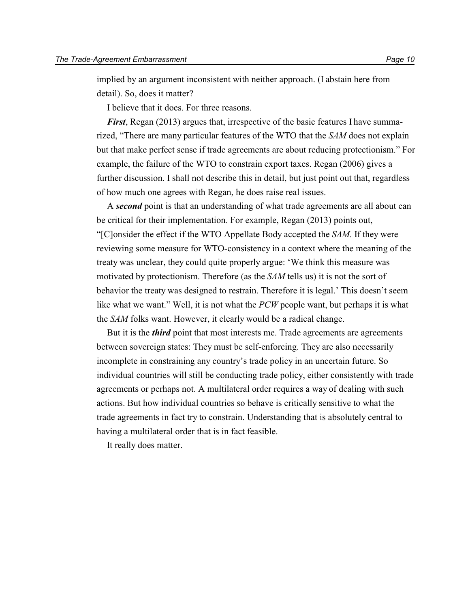implied by an argument inconsistent with neither approach. (I abstain here from detail). So, does it matter?

I believe that it does. For three reasons.

*First*, Regan (2013) argues that, irrespective of the basic features I have summarized, "There are many particular features of the WTO that the *SAM* does not explain but that make perfect sense if trade agreements are about reducing protectionism." For example, the failure of the WTO to constrain export taxes. Regan (2006) gives a further discussion. I shall not describe this in detail, but just point out that, regardless of how much one agrees with Regan, he does raise real issues.

A *second* point is that an understanding of what trade agreements are all about can be critical for their implementation. For example, Regan (2013) points out, "[C]onsider the effect if the WTO Appellate Body accepted the *SAM*. If they were reviewing some measure for WTO-consistency in a context where the meaning of the treaty was unclear, they could quite properly argue: 'We think this measure was motivated by protectionism. Therefore (as the *SAM* tells us) it is not the sort of behavior the treaty was designed to restrain. Therefore it is legal.' This doesn't seem like what we want." Well, it is not what the *PCW* people want, but perhaps it is what the *SAM* folks want. However, it clearly would be a radical change.

But it is the *third* point that most interests me. Trade agreements are agreements between sovereign states: They must be self-enforcing. They are also necessarily incomplete in constraining any country's trade policy in an uncertain future. So individual countries will still be conducting trade policy, either consistently with trade agreements or perhaps not. A multilateral order requires a way of dealing with such actions. But how individual countries so behave is critically sensitive to what the trade agreements in fact try to constrain. Understanding that is absolutely central to having a multilateral order that is in fact feasible.

It really does matter.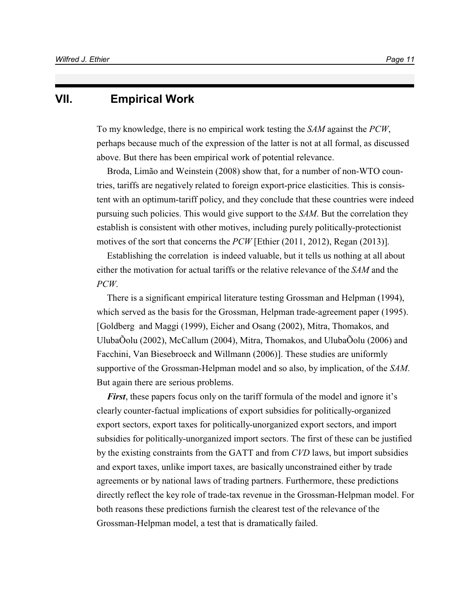#### **VII. Empirical Work**

To my knowledge, there is no empirical work testing the *SAM* against the *PCW*, perhaps because much of the expression of the latter is not at all formal, as discussed above. But there has been empirical work of potential relevance.

Broda, Limão and Weinstein (2008) show that, for a number of non-WTO countries, tariffs are negatively related to foreign export-price elasticities. This is consistent with an optimum-tariff policy, and they conclude that these countries were indeed pursuing such policies. This would give support to the *SAM*. But the correlation they establish is consistent with other motives, including purely politically-protectionist motives of the sort that concerns the *PCW* [Ethier (2011, 2012), Regan (2013)].

Establishing the correlation is indeed valuable, but it tells us nothing at all about either the motivation for actual tariffs or the relative relevance of the *SAM* and the *PCW*.

There is a significant empirical literature testing Grossman and Helpman (1994), which served as the basis for the Grossman, Helpman trade-agreement paper (1995). [Goldberg and Maggi (1999), Eicher and Osang (2002), Mitra, Thomakos, and UlubaÕolu (2002), McCallum (2004), Mitra, Thomakos, and UlubaÕolu (2006) and Facchini, Van Biesebroeck and Willmann (2006)]. These studies are uniformly supportive of the Grossman-Helpman model and so also, by implication, of the *SAM*. But again there are serious problems.

*First*, these papers focus only on the tariff formula of the model and ignore it's clearly counter-factual implications of export subsidies for politically-organized export sectors, export taxes for politically-unorganized export sectors, and import subsidies for politically-unorganized import sectors. The first of these can be justified by the existing constraints from the GATT and from *CVD* laws, but import subsidies and export taxes, unlike import taxes, are basically unconstrained either by trade agreements or by national laws of trading partners. Furthermore, these predictions directly reflect the key role of trade-tax revenue in the Grossman-Helpman model. For both reasons these predictions furnish the clearest test of the relevance of the Grossman-Helpman model, a test that is dramatically failed.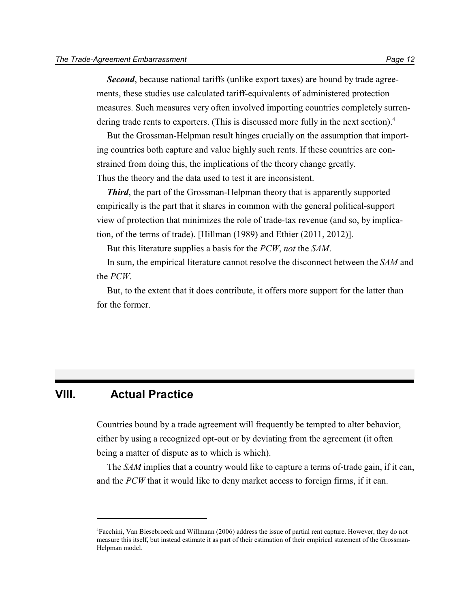*Second*, because national tariffs (unlike export taxes) are bound by trade agreements, these studies use calculated tariff-equivalents of administered protection measures. Such measures very often involved importing countries completely surrendering trade rents to exporters. (This is discussed more fully in the next section).<sup>4</sup>

But the Grossman-Helpman result hinges crucially on the assumption that importing countries both capture and value highly such rents. If these countries are constrained from doing this, the implications of the theory change greatly. Thus the theory and the data used to test it are inconsistent.

*Third*, the part of the Grossman-Helpman theory that is apparently supported empirically is the part that it shares in common with the general political-support view of protection that minimizes the role of trade-tax revenue (and so, by implication, of the terms of trade). [Hillman (1989) and Ethier (2011, 2012)].

But this literature supplies a basis for the *PCW*, *not* the *SAM*.

In sum, the empirical literature cannot resolve the disconnect between the *SAM* and the *PCW*.

But, to the extent that it does contribute, it offers more support for the latter than for the former.

## **VIII. Actual Practice**

Countries bound by a trade agreement will frequently be tempted to alter behavior, either by using a recognized opt-out or by deviating from the agreement (it often being a matter of dispute as to which is which).

The *SAM* implies that a country would like to capture a terms of-trade gain, if it can, and the *PCW* that it would like to deny market access to foreign firms, if it can.

<sup>4</sup>Facchini, Van Biesebroeck and Willmann (2006) address the issue of partial rent capture. However, they do not measure this itself, but instead estimate it as part of their estimation of their empirical statement of the Grossman-Helpman model.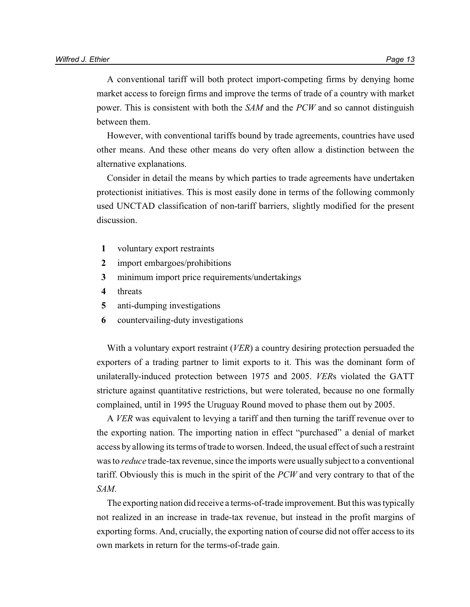A conventional tariff will both protect import-competing firms by denying home market access to foreign firms and improve the terms of trade of a country with market power. This is consistent with both the *SAM* and the *PCW* and so cannot distinguish between them.

However, with conventional tariffs bound by trade agreements, countries have used other means. And these other means do very often allow a distinction between the alternative explanations.

Consider in detail the means by which parties to trade agreements have undertaken protectionist initiatives. This is most easily done in terms of the following commonly used UNCTAD classification of non-tariff barriers, slightly modified for the present discussion.

- **1** voluntary export restraints
- **2** import embargoes/prohibitions
- **3** minimum import price requirements/undertakings
- **4** threats
- **5** anti-dumping investigations
- **6** countervailing-duty investigations

With a voluntary export restraint (*VER*) a country desiring protection persuaded the exporters of a trading partner to limit exports to it. This was the dominant form of unilaterally-induced protection between 1975 and 2005. *VER*s violated the GATT stricture against quantitative restrictions, but were tolerated, because no one formally complained, until in 1995 the Uruguay Round moved to phase them out by 2005.

A *VER* was equivalent to levying a tariff and then turning the tariff revenue over to the exporting nation. The importing nation in effect "purchased" a denial of market access by allowing its terms of trade to worsen. Indeed, the usual effect of such a restraint was to *reduce* trade-tax revenue, since the imports were usually subject to a conventional tariff. Obviously this is much in the spirit of the *PCW* and very contrary to that of the *SAM*.

The exporting nation did receive a terms-of-trade improvement. But this was typically not realized in an increase in trade-tax revenue, but instead in the profit margins of exporting forms. And, crucially, the exporting nation of course did not offer access to its own markets in return for the terms-of-trade gain.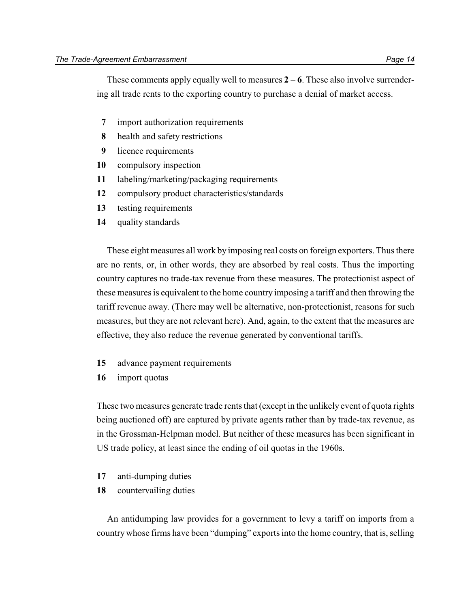These comments apply equally well to measures  $2 - 6$ . These also involve surrendering all trade rents to the exporting country to purchase a denial of market access.

- **7** import authorization requirements
- **8** health and safety restrictions
- **9** licence requirements
- **10** compulsory inspection
- **11** labeling/marketing/packaging requirements
- **12** compulsory product characteristics/standards
- **13** testing requirements
- **14** quality standards

These eight measures all work by imposing real costs on foreign exporters. Thus there are no rents, or, in other words, they are absorbed by real costs. Thus the importing country captures no trade-tax revenue from these measures. The protectionist aspect of these measures is equivalent to the home country imposing a tariff and then throwing the tariff revenue away. (There may well be alternative, non-protectionist, reasons for such measures, but they are not relevant here). And, again, to the extent that the measures are effective, they also reduce the revenue generated by conventional tariffs.

- **15** advance payment requirements
- **16** import quotas

These two measures generate trade rents that (except in the unlikely event of quota rights being auctioned off) are captured by private agents rather than by trade-tax revenue, as in the Grossman-Helpman model. But neither of these measures has been significant in US trade policy, at least since the ending of oil quotas in the 1960s.

- **17** anti-dumping duties
- **18** countervailing duties

An antidumping law provides for a government to levy a tariff on imports from a countrywhose firms have been "dumping" exports into the home country, that is, selling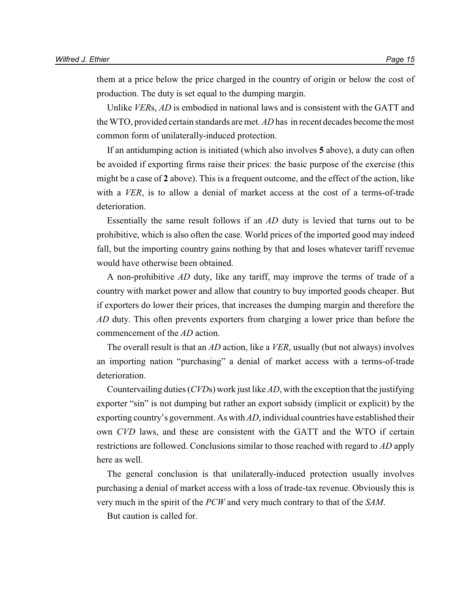them at a price below the price charged in the country of origin or below the cost of production. The duty is set equal to the dumping margin.

Unlike *VER*s, *AD* is embodied in national laws and is consistent with the GATT and the WTO, provided certain standards are met. *AD* has in recent decades become the most common form of unilaterally-induced protection.

If an antidumping action is initiated (which also involves **5** above), a duty can often be avoided if exporting firms raise their prices: the basic purpose of the exercise (this might be a case of **2** above). This is a frequent outcome, and the effect of the action, like with a *VER*, is to allow a denial of market access at the cost of a terms-of-trade deterioration.

Essentially the same result follows if an *AD* duty is levied that turns out to be prohibitive, which is also often the case. World prices of the imported good may indeed fall, but the importing country gains nothing by that and loses whatever tariff revenue would have otherwise been obtained.

A non-prohibitive *AD* duty, like any tariff, may improve the terms of trade of a country with market power and allow that country to buy imported goods cheaper. But if exporters do lower their prices, that increases the dumping margin and therefore the *AD* duty. This often prevents exporters from charging a lower price than before the commencement of the *AD* action.

The overall result is that an *AD* action, like a *VER*, usually (but not always) involves an importing nation "purchasing" a denial of market access with a terms-of-trade deterioration.

Countervailing duties (*CVD*s) work just like *AD*, with the exception that the justifying exporter "sin" is not dumping but rather an export subsidy (implicit or explicit) by the exporting country's government. As with *AD*, individual countries have established their own *CVD* laws, and these are consistent with the GATT and the WTO if certain restrictions are followed. Conclusions similar to those reached with regard to *AD* apply here as well.

The general conclusion is that unilaterally-induced protection usually involves purchasing a denial of market access with a loss of trade-tax revenue. Obviously this is very much in the spirit of the *PCW* and very much contrary to that of the *SAM*.

But caution is called for.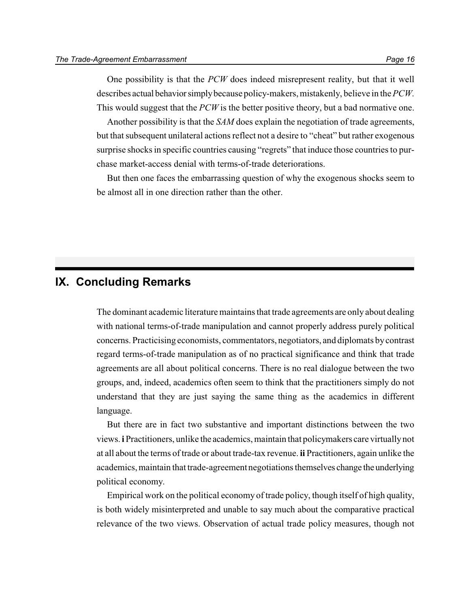One possibility is that the *PCW* does indeed misrepresent reality, but that it well describes actual behaviorsimplybecause policy-makers, mistakenly, believe in the *PCW*. This would suggest that the *PCW* is the better positive theory, but a bad normative one.

Another possibility is that the *SAM* does explain the negotiation of trade agreements, but that subsequent unilateral actions reflect not a desire to "cheat" but rather exogenous surprise shocks in specific countries causing "regrets" that induce those countries to purchase market-access denial with terms-of-trade deteriorations.

But then one faces the embarrassing question of why the exogenous shocks seem to be almost all in one direction rather than the other.

#### **IX. Concluding Remarks**

The dominant academic literature maintains that trade agreements are only about dealing with national terms-of-trade manipulation and cannot properly address purely political concerns. Practicising economists, commentators, negotiators, and diplomats bycontrast regard terms-of-trade manipulation as of no practical significance and think that trade agreements are all about political concerns. There is no real dialogue between the two groups, and, indeed, academics often seem to think that the practitioners simply do not understand that they are just saying the same thing as the academics in different language.

But there are in fact two substantive and important distinctions between the two views. **i** Practitioners, unlike the academics, maintain that policymakers care virtuallynot at all about the terms of trade or about trade-tax revenue. **ii** Practitioners, again unlike the academics, maintain that trade-agreement negotiations themselves change the underlying political economy.

Empirical work on the political economy of trade policy, though itself of high quality, is both widely misinterpreted and unable to say much about the comparative practical relevance of the two views. Observation of actual trade policy measures, though not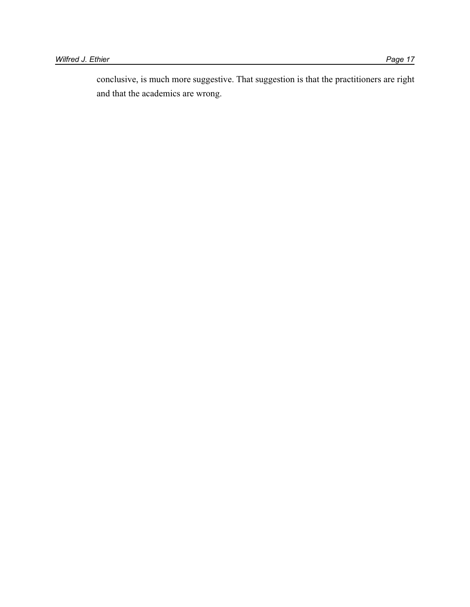conclusive, is much more suggestive. That suggestion is that the practitioners are right and that the academics are wrong.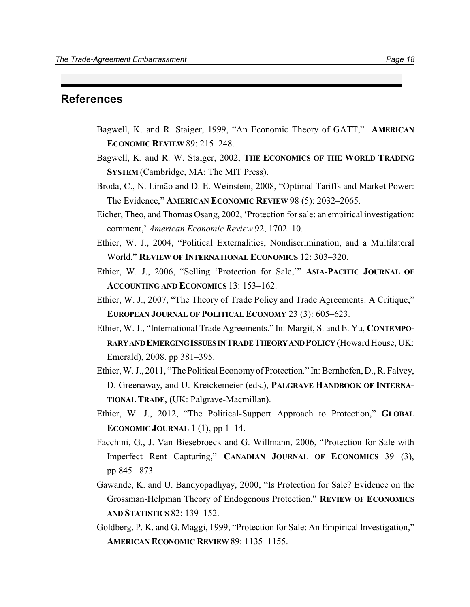#### **References**

- Bagwell, K. and R. Staiger, 1999, "An Economic Theory of GATT," **AMERICAN ECONOMIC REVIEW** 89: 215–248.
- Bagwell, K. and R. W. Staiger, 2002, **THE ECONOMICS OF THE WORLD TRADING SYSTEM** (Cambridge, MA: The MIT Press).
- Broda, C., N. Limão and D. E. Weinstein, 2008, "Optimal Tariffs and Market Power: The Evidence," **AMERICAN ECONOMIC REVIEW** 98 (5): 2032–2065.
- Eicher, Theo, and Thomas Osang, 2002, 'Protection for sale: an empirical investigation: comment,' *American Economic Review* 92, 1702–10.
- Ethier, W. J., 2004, "Political Externalities, Nondiscrimination, and a Multilateral World," **REVIEW OF INTERNATIONAL ECONOMICS** 12: 303–320.
- Ethier, W. J., 2006, "Selling 'Protection for Sale,'" **ASIA-PACIFIC JOURNAL OF ACCOUNTING AND ECONOMICS** 13: 153–162.
- Ethier, W. J., 2007, "The Theory of Trade Policy and Trade Agreements: A Critique," **EUROPEAN JOURNAL OF POLITICAL ECONOMY** 23 (3): 605–623.
- Ethier, W. J., "International Trade Agreements." In: Margit, S. and E. Yu, **CONTEMPO-RARYANDEMERGINGISSUESINTRADETHEORYANDPOLICY** (Howard House, UK: Emerald), 2008. pp 381–395.
- Ethier, W. J., 2011, "The Political Economyof Protection." In: Bernhofen, D., R. Falvey, D. Greenaway, and U. Kreickemeier (eds.), **PALGRAVE HANDBOOK OF INTERNA-TIONAL TRADE**, (UK: Palgrave-Macmillan).
- Ethier, W. J., 2012, "The Political-Support Approach to Protection," **GLOBAL ECONOMIC JOURNAL** 1 (1), pp 1–14.
- Facchini, G., J. Van Biesebroeck and G. Willmann, 2006, "Protection for Sale with Imperfect Rent Capturing," **CANADIAN JOURNAL OF ECONOMICS** 39 (3), pp 845 –873.
- Gawande, K. and U. Bandyopadhyay, 2000, "Is Protection for Sale? Evidence on the Grossman-Helpman Theory of Endogenous Protection," **REVIEW OF ECONOMICS AND STATISTICS** 82: 139–152.
- Goldberg, P. K. and G. Maggi, 1999, "Protection for Sale: An Empirical Investigation," **AMERICAN ECONOMIC REVIEW** 89: 1135–1155.